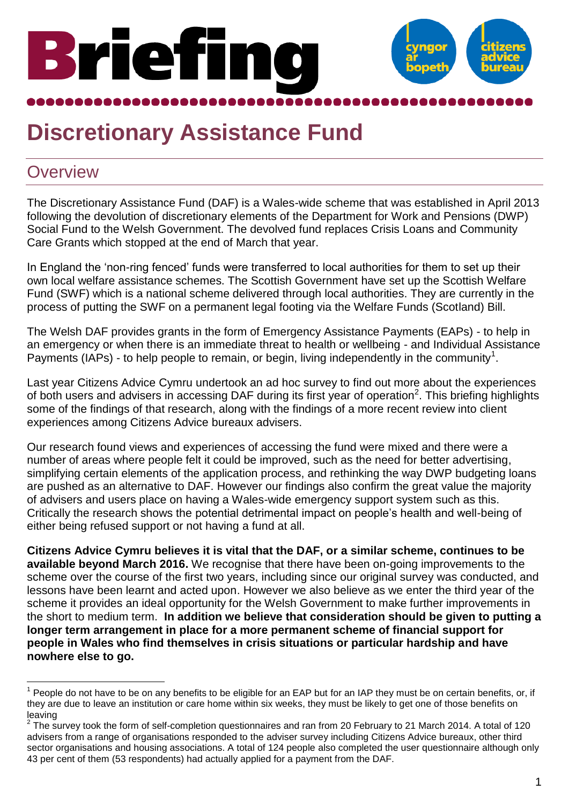# Briefing



## **Discretionary Assistance Fund**

#### **Overview**

The Discretionary Assistance Fund (DAF) is a Wales-wide scheme that was established in April 2013 following the devolution of discretionary elements of the Department for Work and Pensions (DWP) Social Fund to the Welsh Government. The devolved fund replaces Crisis Loans and Community Care Grants which stopped at the end of March that year.

In England the 'non-ring fenced' funds were transferred to local authorities for them to set up their own local welfare assistance schemes. The Scottish Government have set up the Scottish Welfare Fund (SWF) which is a national scheme delivered through local authorities. They are currently in the process of putting the SWF on a permanent legal footing via the Welfare Funds (Scotland) Bill.

The Welsh DAF provides grants in the form of Emergency Assistance Payments (EAPs) - to help in an emergency or when there is an immediate threat to health or wellbeing - and Individual Assistance Payments (IAPs) - to help people to remain, or begin, living independently in the community<sup>1</sup>.

Last year Citizens Advice Cymru undertook an ad hoc survey to find out more about the experiences of both users and advisers in accessing DAF during its first year of operation<sup>2</sup>. This briefing highlights some of the findings of that research, along with the findings of a more recent review into client experiences among Citizens Advice bureaux advisers.

Our research found views and experiences of accessing the fund were mixed and there were a number of areas where people felt it could be improved, such as the need for better advertising, simplifying certain elements of the application process, and rethinking the way DWP budgeting loans are pushed as an alternative to DAF. However our findings also confirm the great value the majority of advisers and users place on having a Wales-wide emergency support system such as this. Critically the research shows the potential detrimental impact on people's health and well-being of either being refused support or not having a fund at all.

**Citizens Advice Cymru believes it is vital that the DAF, or a similar scheme, continues to be available beyond March 2016.** We recognise that there have been on-going improvements to the scheme over the course of the first two years, including since our original survey was conducted, and lessons have been learnt and acted upon. However we also believe as we enter the third year of the scheme it provides an ideal opportunity for the Welsh Government to make further improvements in the short to medium term. **In addition we believe that consideration should be given to putting a longer term arrangement in place for a more permanent scheme of financial support for people in Wales who find themselves in crisis situations or particular hardship and have nowhere else to go.** 

l 1 People do not have to be on any benefits to be eligible for an EAP but for an IAP they must be on certain benefits, or, if they are due to leave an institution or care home within six weeks, they must be likely to get one of those benefits on leaving

 $2$  The survey took the form of self-completion questionnaires and ran from 20 February to 21 March 2014. A total of 120 advisers from a range of organisations responded to the adviser survey including Citizens Advice bureaux, other third sector organisations and housing associations. A total of 124 people also completed the user questionnaire although only 43 per cent of them (53 respondents) had actually applied for a payment from the DAF.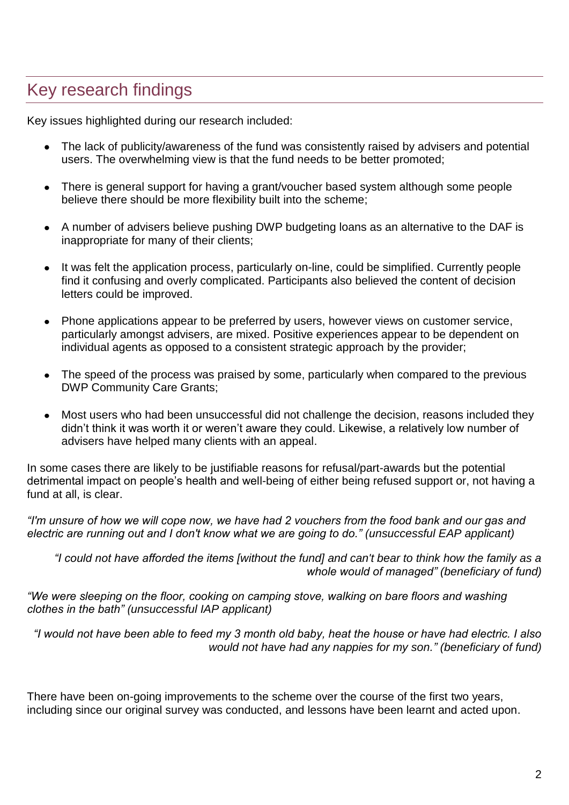### Key research findings

Key issues highlighted during our research included:

- The lack of publicity/awareness of the fund was consistently raised by advisers and potential users. The overwhelming view is that the fund needs to be better promoted;
- There is general support for having a grant/voucher based system although some people believe there should be more flexibility built into the scheme;
- A number of advisers believe pushing DWP budgeting loans as an alternative to the DAF is inappropriate for many of their clients;
- It was felt the application process, particularly on-line, could be simplified. Currently people find it confusing and overly complicated. Participants also believed the content of decision letters could be improved.
- Phone applications appear to be preferred by users, however views on customer service, particularly amongst advisers, are mixed. Positive experiences appear to be dependent on individual agents as opposed to a consistent strategic approach by the provider;
- The speed of the process was praised by some, particularly when compared to the previous DWP Community Care Grants;
- Most users who had been unsuccessful did not challenge the decision, reasons included they didn't think it was worth it or weren't aware they could. Likewise, a relatively low number of advisers have helped many clients with an appeal.

In some cases there are likely to be justifiable reasons for refusal/part-awards but the potential detrimental impact on people's health and well-being of either being refused support or, not having a fund at all, is clear.

*"I'm unsure of how we will cope now, we have had 2 vouchers from the food bank and our gas and electric are running out and I don't know what we are going to do." (unsuccessful EAP applicant)*

*"I could not have afforded the items [without the fund] and can't bear to think how the family as a whole would of managed" (beneficiary of fund)*

*"We were sleeping on the floor, cooking on camping stove, walking on bare floors and washing clothes in the bath" (unsuccessful IAP applicant)*

*"I would not have been able to feed my 3 month old baby, heat the house or have had electric. I also would not have had any nappies for my son." (beneficiary of fund)*

There have been on-going improvements to the scheme over the course of the first two years, including since our original survey was conducted, and lessons have been learnt and acted upon.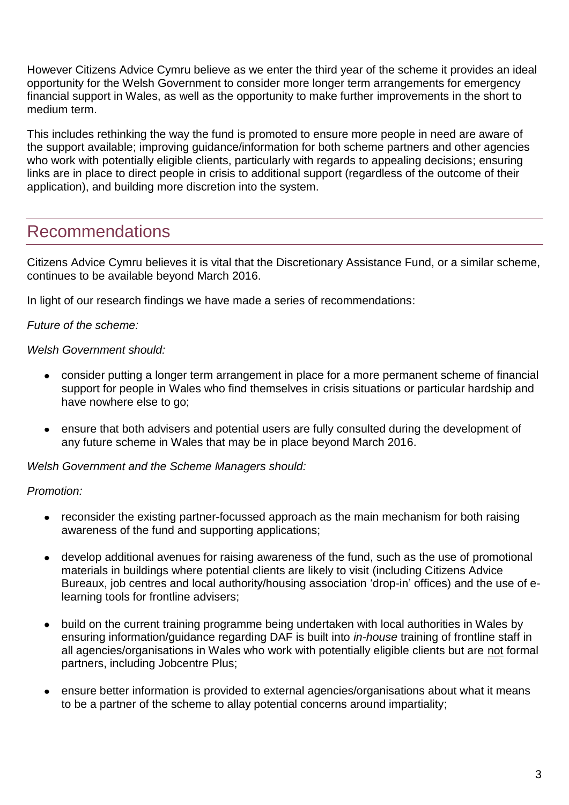However Citizens Advice Cymru believe as we enter the third year of the scheme it provides an ideal opportunity for the Welsh Government to consider more longer term arrangements for emergency financial support in Wales, as well as the opportunity to make further improvements in the short to medium term.

This includes rethinking the way the fund is promoted to ensure more people in need are aware of the support available; improving guidance/information for both scheme partners and other agencies who work with potentially eligible clients, particularly with regards to appealing decisions; ensuring links are in place to direct people in crisis to additional support (regardless of the outcome of their application), and building more discretion into the system.

#### Recommendations

Citizens Advice Cymru believes it is vital that the Discretionary Assistance Fund, or a similar scheme, continues to be available beyond March 2016.

In light of our research findings we have made a series of recommendations:

*Future of the scheme:*

#### *Welsh Government should:*

- consider putting a longer term arrangement in place for a more permanent scheme of financial support for people in Wales who find themselves in crisis situations or particular hardship and have nowhere else to go;
- ensure that both advisers and potential users are fully consulted during the development of any future scheme in Wales that may be in place beyond March 2016.

*Welsh Government and the Scheme Managers should:*

*Promotion:*

- reconsider the existing partner-focussed approach as the main mechanism for both raising awareness of the fund and supporting applications;
- develop additional avenues for raising awareness of the fund, such as the use of promotional materials in buildings where potential clients are likely to visit (including Citizens Advice Bureaux, job centres and local authority/housing association 'drop-in' offices) and the use of elearning tools for frontline advisers;
- build on the current training programme being undertaken with local authorities in Wales by  $\bullet$ ensuring information/guidance regarding DAF is built into *in-house* training of frontline staff in all agencies/organisations in Wales who work with potentially eligible clients but are not formal partners, including Jobcentre Plus;
- ensure better information is provided to external agencies/organisations about what it means to be a partner of the scheme to allay potential concerns around impartiality;